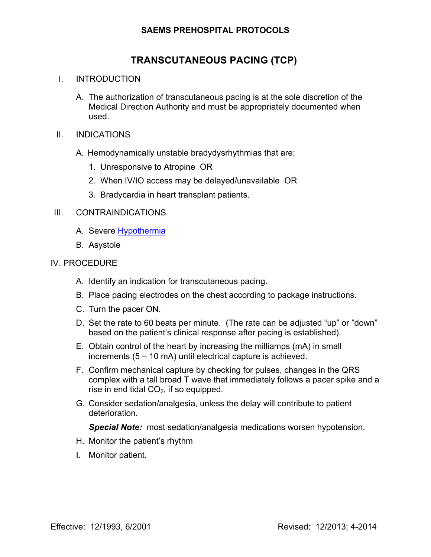## **SAEMS PREHOSPITAL PROTOCOLS**

# **TRANSCUTANEOUS PACING (TCP)**

#### I. INTRODUCTION

- A. The authorization of transcutaneous pacing is at the sole discretion of the Medical Direction Authority and must be appropriately documented when used.
- II. INDICATIONS
	- A. Hemodynamically unstable bradydysrhythmias that are:
		- 1. Unresponsive to Atropine OR
		- 2. When IV/IO access may be delayed/unavailable OR
		- 3. Bradycardia in heart transplant patients.

#### III. CONTRAINDICATIONS

- A. Severe Hypothermia
- B. Asystole

#### IV. PROCEDURE

- A. Identify an indication for transcutaneous pacing.
- B. Place pacing electrodes on the chest according to package instructions.
- C. Turn the pacer ON.
- D. Set the rate to 60 beats per minute. (The rate can be adjusted "up" or "down" based on the patient's clinical response after pacing is established).
- E. Obtain control of the heart by increasing the milliamps (mA) in small increments (5 – 10 mA) until electrical capture is achieved.
- F. Confirm mechanical capture by checking for pulses, changes in the QRS complex with a tall broad T wave that immediately follows a pacer spike and a rise in end tidal  $CO<sub>2</sub>$ , if so equipped.
- G. Consider sedation/analgesia, unless the delay will contribute to patient deterioration.

*Special Note:* most sedation/analgesia medications worsen hypotension.

- H. Monitor the patient's rhythm
- I. Monitor patient.